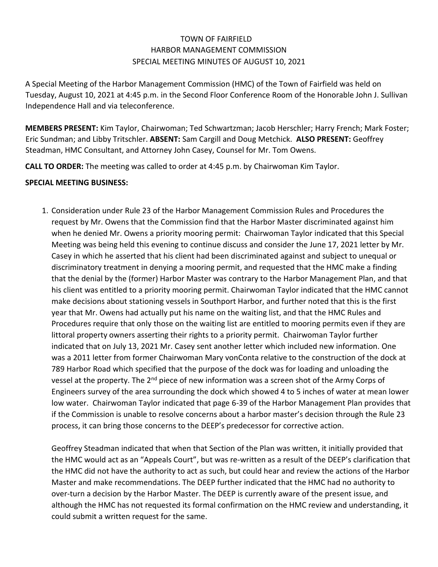## TOWN OF FAIRFIELD HARBOR MANAGEMENT COMMISSION SPECIAL MEETING MINUTES OF AUGUST 10, 2021

A Special Meeting of the Harbor Management Commission (HMC) of the Town of Fairfield was held on Tuesday, August 10, 2021 at 4:45 p.m. in the Second Floor Conference Room of the Honorable John J. Sullivan Independence Hall and via teleconference.

**MEMBERS PRESENT:** Kim Taylor, Chairwoman; Ted Schwartzman; Jacob Herschler; Harry French; Mark Foster; Eric Sundman; and Libby Tritschler. **ABSENT:** Sam Cargill and Doug Metchick. **ALSO PRESENT:** Geoffrey Steadman, HMC Consultant, and Attorney John Casey, Counsel for Mr. Tom Owens.

**CALL TO ORDER:** The meeting was called to order at 4:45 p.m. by Chairwoman Kim Taylor.

## **SPECIAL MEETING BUSINESS:**

1. Consideration under Rule 23 of the Harbor Management Commission Rules and Procedures the request by Mr. Owens that the Commission find that the Harbor Master discriminated against him when he denied Mr. Owens a priority mooring permit: Chairwoman Taylor indicated that this Special Meeting was being held this evening to continue discuss and consider the June 17, 2021 letter by Mr. Casey in which he asserted that his client had been discriminated against and subject to unequal or discriminatory treatment in denying a mooring permit, and requested that the HMC make a finding that the denial by the (former) Harbor Master was contrary to the Harbor Management Plan, and that his client was entitled to a priority mooring permit. Chairwoman Taylor indicated that the HMC cannot make decisions about stationing vessels in Southport Harbor, and further noted that this is the first year that Mr. Owens had actually put his name on the waiting list, and that the HMC Rules and Procedures require that only those on the waiting list are entitled to mooring permits even if they are littoral property owners asserting their rights to a priority permit. Chairwoman Taylor further indicated that on July 13, 2021 Mr. Casey sent another letter which included new information. One was a 2011 letter from former Chairwoman Mary vonConta relative to the construction of the dock at 789 Harbor Road which specified that the purpose of the dock was for loading and unloading the vessel at the property. The 2<sup>nd</sup> piece of new information was a screen shot of the Army Corps of Engineers survey of the area surrounding the dock which showed 4 to 5 inches of water at mean lower low water. Chairwoman Taylor indicated that page 6-39 of the Harbor Management Plan provides that if the Commission is unable to resolve concerns about a harbor master's decision through the Rule 23 process, it can bring those concerns to the DEEP's predecessor for corrective action.

Geoffrey Steadman indicated that when that Section of the Plan was written, it initially provided that the HMC would act as an "Appeals Court", but was re-written as a result of the DEEP's clarification that the HMC did not have the authority to act as such, but could hear and review the actions of the Harbor Master and make recommendations. The DEEP further indicated that the HMC had no authority to over-turn a decision by the Harbor Master. The DEEP is currently aware of the present issue, and although the HMC has not requested its formal confirmation on the HMC review and understanding, it could submit a written request for the same.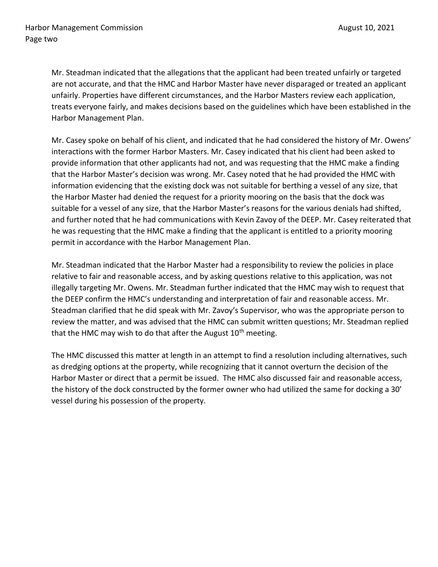Mr. Steadman indicated that the allegations that the applicant had been treated unfairly or targeted are not accurate, and that the HMC and Harbor Master have never disparaged or treated an applicant unfairly. Properties have different circumstances, and the Harbor Masters review each application, treats everyone fairly, and makes decisions based on the guidelines which have been established in the Harbor Management Plan.

Mr. Casey spoke on behalf of his client, and indicated that he had considered the history of Mr. Owens' interactions with the former Harbor Masters. Mr. Casey indicated that his client had been asked to provide information that other applicants had not, and was requesting that the HMC make a finding that the Harbor Master's decision was wrong. Mr. Casey noted that he had provided the HMC with information evidencing that the existing dock was not suitable for berthing a vessel of any size, that the Harbor Master had denied the request for a priority mooring on the basis that the dock was suitable for a vessel of any size, that the Harbor Master's reasons for the various denials had shifted, and further noted that he had communications with Kevin Zavoy of the DEEP. Mr. Casey reiterated that he was requesting that the HMC make a finding that the applicant is entitled to a priority mooring permit in accordance with the Harbor Management Plan.

Mr. Steadman indicated that the Harbor Master had a responsibility to review the policies in place relative to fair and reasonable access, and by asking questions relative to this application, was not illegally targeting Mr. Owens. Mr. Steadman further indicated that the HMC may wish to request that the DEEP confirm the HMC's understanding and interpretation of fair and reasonable access. Mr. Steadman clarified that he did speak with Mr. Zavoy's Supervisor, who was the appropriate person to review the matter, and was advised that the HMC can submit written questions; Mr. Steadman replied that the HMC may wish to do that after the August  $10<sup>th</sup>$  meeting.

The HMC discussed this matter at length in an attempt to find a resolution including alternatives, such as dredging options at the property, while recognizing that it cannot overturn the decision of the Harbor Master or direct that a permit be issued. The HMC also discussed fair and reasonable access, the history of the dock constructed by the former owner who had utilized the same for docking a 30' vessel during his possession of the property.